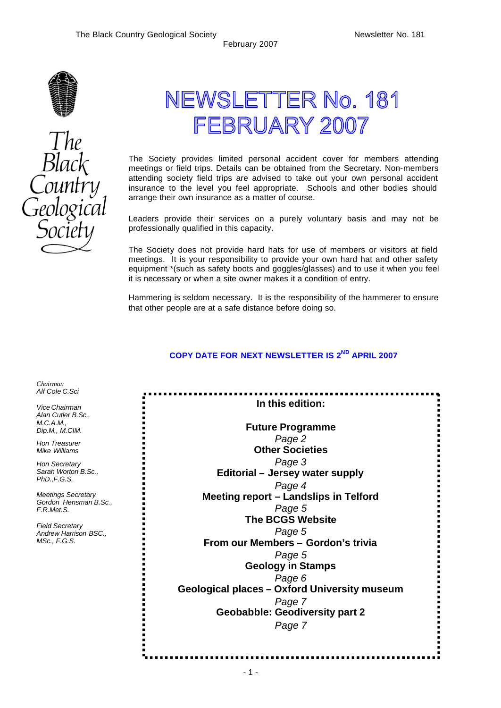

# NEWSLETTER No. 181 FEBRUARY 2007

The Society provides limited personal accident cover for members attending meetings or field trips. Details can be obtained from the Secretary. Non-members attending society field trips are advised to take out your own personal accident insurance to the level you feel appropriate. Schools and other bodies should arrange their own insurance as a matter of course.

Leaders provide their services on a purely voluntary basis and may not be professionally qualified in this capacity.

The Society does not provide hard hats for use of members or visitors at field meetings. It is your responsibility to provide your own hard hat and other safety equipment \*(such as safety boots and goggles/glasses) and to use it when you feel it is necessary or when a site owner makes it a condition of entry.

Hammering is seldom necessary. It is the responsibility of the hammerer to ensure that other people are at a safe distance before doing so.

### **COPY DATE FOR NEXT NEWSLETTER IS 2 ND APRIL 2007**

| In this edition:                             |
|----------------------------------------------|
| <b>Future Programme</b>                      |
| Page 2                                       |
| <b>Other Societies</b>                       |
| Page 3                                       |
| Editorial - Jersey water supply              |
| Page 4                                       |
| Meeting report - Landslips in Telford        |
| Page 5                                       |
| <b>The BCGS Website</b>                      |
| Page 5                                       |
| From our Members - Gordon's trivia           |
| Page 5                                       |
| <b>Geology in Stamps</b>                     |
| Page 6                                       |
| Geological places - Oxford University museum |
| Page 7                                       |
| <b>Geobabble: Geodiversity part 2</b>        |
| Page 7                                       |



*Chairman Alf Cole C.Sci Vice Chairman Alan Cutler B.Sc., M.C.A.M., Dip.M., M.CIM. Hon Treasurer Mike Williams Hon Secretary Sarah Worton B.Sc., PhD.,F.G.S.*

*Meetings Secretary Gordon Hensman B.Sc.,* 

*F.R.Met.S.*

*Field Secretary Andrew Harrison BSC.,* 

*MSc., F.G.S.*

. . . .

. . . . . . . . . . . . . . . . . .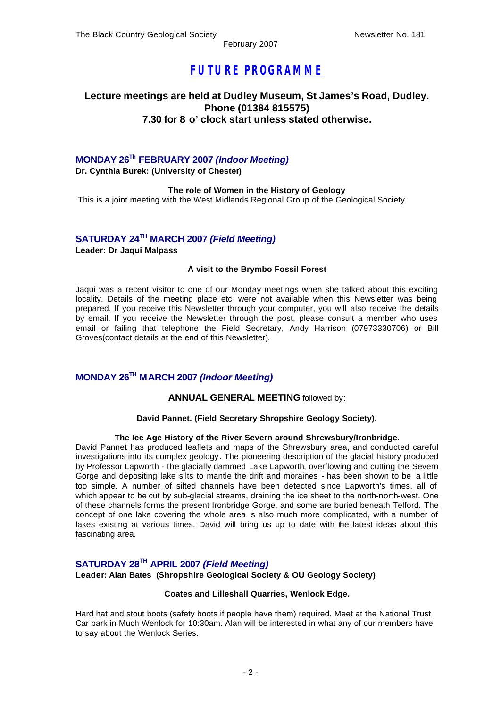### *FUTURE PROGRAMME*

### **Lecture meetings are held at Dudley Museum, St James's Road, Dudley. Phone (01384 815575) 7.30 for 8 o' clock start unless stated otherwise.**

### **MONDAY 26Th FEBRUARY 2007** *(Indoor Meeting)*

**Dr. Cynthia Burek: (University of Chester)**

#### **The role of Women in the History of Geology**

This is a joint meeting with the West Midlands Regional Group of the Geological Society.

### **SATURDAY 24TH MARCH 2007** *(Field Meeting)*

**Leader: Dr Jaqui Malpass**

#### **A visit to the Brymbo Fossil Forest**

Jaqui was a recent visitor to one of our Monday meetings when she talked about this exciting locality. Details of the meeting place etc were not available when this Newsletter was being prepared. If you receive this Newsletter through your computer, you will also receive the details by email. If you receive the Newsletter through the post, please consult a member who uses email or failing that telephone the Field Secretary, Andy Harrison (07973330706) or Bill Groves(contact details at the end of this Newsletter).

### **MONDAY 26TH MARCH 2007** *(Indoor Meeting)*

### **ANNUAL GENERAL MEETING** followed by:

#### **David Pannet. (Field Secretary Shropshire Geology Society).**

### **The Ice Age History of the River Severn around Shrewsbury/Ironbridge.**

David Pannet has produced leaflets and maps of the Shrewsbury area, and conducted careful investigations into its complex geology. The pioneering description of the glacial history produced by Professor Lapworth - the glacially dammed Lake Lapworth, overflowing and cutting the Severn Gorge and depositing lake silts to mantle the drift and moraines - has been shown to be a little too simple. A number of silted channels have been detected since Lapworth's times, all of which appear to be cut by sub-glacial streams, draining the ice sheet to the north-north-west. One of these channels forms the present Ironbridge Gorge, and some are buried beneath Telford. The concept of one lake covering the whole area is also much more complicated, with a number of lakes existing at various times. David will bring us up to date with the latest ideas about this fascinating area.

### **SATURDAY 28TH APRIL 2007** *(Field Meeting)*

**Leader: Alan Bates (Shropshire Geological Society & OU Geology Society)**

#### **Coates and Lilleshall Quarries, Wenlock Edge.**

Hard hat and stout boots (safety boots if people have them) required. Meet at the National Trust Car park in Much Wenlock for 10:30am. Alan will be interested in what any of our members have to say about the Wenlock Series.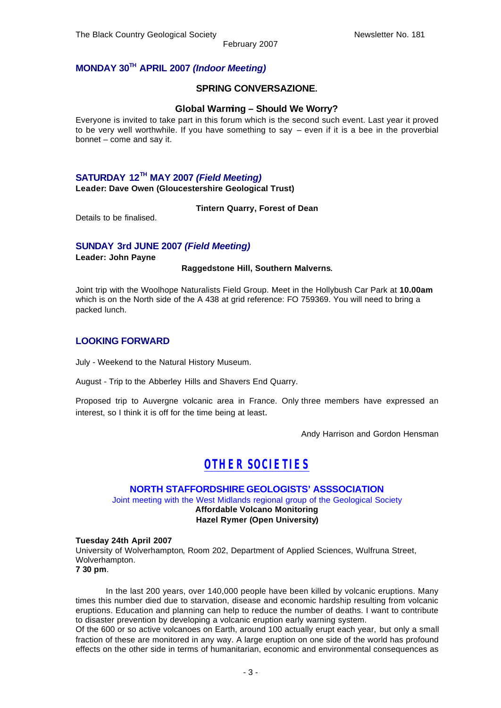### **MONDAY 30TH APRIL 2007** *(Indoor Meeting)*

### **SPRING CONVERSAZIONE.**

### **Global Warming – Should We Worry?**

Everyone is invited to take part in this forum which is the second such event. Last year it proved to be very well worthwhile. If you have something to say – even if it is a bee in the proverbial bonnet – come and say it.

### **SATURDAY 12TH MAY 2007** *(Field Meeting)*

**Leader: Dave Owen (Gloucestershire Geological Trust)**

**Tintern Quarry, Forest of Dean**

Details to be finalised.

### **SUNDAY 3rd JUNE 2007** *(Field Meeting)*

**Leader: John Payne**

#### **Raggedstone Hill, Southern Malverns**.

Joint trip with the Woolhope Naturalists Field Group. Meet in the Hollybush Car Park at **10.00am**  which is on the North side of the A 438 at grid reference: FO 759369. You will need to bring a packed lunch.

### **LOOKING FORWARD**

July - Weekend to the Natural History Museum.

August - Trip to the Abberley Hills and Shavers End Quarry.

Proposed trip to Auvergne volcanic area in France. Only three members have expressed an interest, so I think it is off for the time being at least.

Andy Harrison and Gordon Hensman

### *OTHER SOCIETIES*

### **NORTH STAFFORDSHIRE GEOLOGISTS' ASSSOCIATION**

Joint meeting with the West Midlands regional group of the Geological Society **Affordable Volcano Monitoring Hazel Rymer (Open University)**

#### **Tuesday 24th April 2007**

University of Wolverhampton, Room 202, Department of Applied Sciences, Wulfruna Street, Wolverhampton. **7 30 pm**.

In the last 200 years, over 140,000 people have been killed by volcanic eruptions. Many times this number died due to starvation, disease and economic hardship resulting from volcanic eruptions. Education and planning can help to reduce the number of deaths. I want to contribute to disaster prevention by developing a volcanic eruption early warning system.

Of the 600 or so active volcanoes on Earth, around 100 actually erupt each year, but only a small fraction of these are monitored in any way. A large eruption on one side of the world has profound effects on the other side in terms of humanitarian, economic and environmental consequences as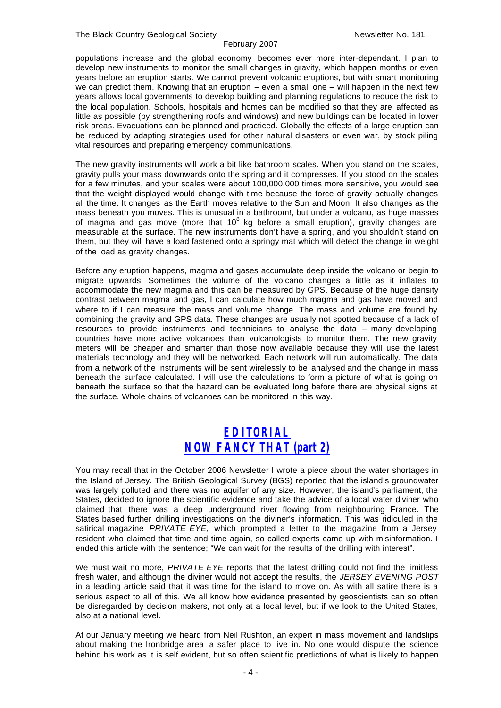populations increase and the global economy becomes ever more inter-dependant. I plan to develop new instruments to monitor the small changes in gravity, which happen months or even years before an eruption starts. We cannot prevent volcanic eruptions, but with smart monitoring we can predict them. Knowing that an eruption – even a small one – will happen in the next few years allows local governments to develop building and planning regulations to reduce the risk to the local population. Schools, hospitals and homes can be modified so that they are affected as little as possible (by strengthening roofs and windows) and new buildings can be located in lower risk areas. Evacuations can be planned and practiced. Globally the effects of a large eruption can be reduced by adapting strategies used for other natural disasters or even war, by stock piling vital resources and preparing emergency communications.

The new gravity instruments will work a bit like bathroom scales. When you stand on the scales, gravity pulls your mass downwards onto the spring and it compresses. If you stood on the scales for a few minutes, and your scales were about 100,000,000 times more sensitive, you would see that the weight displayed would change with time because the force of gravity actually changes all the time. It changes as the Earth moves relative to the Sun and Moon. It also changes as the mass beneath you moves. This is unusual in a bathroom!, but under a volcano, as huge masses of magma and gas move (more that  $10^8$  kg before a small eruption), gravity changes are measurable at the surface. The new instruments don't have a spring, and you shouldn't stand on them, but they will have a load fastened onto a springy mat which will detect the change in weight of the load as gravity changes.

Before any eruption happens, magma and gases accumulate deep inside the volcano or begin to migrate upwards. Sometimes the volume of the volcano changes a little as it inflates to accommodate the new magma and this can be measured by GPS. Because of the huge density contrast between magma and gas, I can calculate how much magma and gas have moved and where to if I can measure the mass and volume change. The mass and volume are found by combining the gravity and GPS data. These changes are usually not spotted because of a lack of resources to provide instruments and technicians to analyse the data – many developing countries have more active volcanoes than volcanologists to monitor them. The new gravity meters will be cheaper and smarter than those now available because they will use the latest materials technology and they will be networked. Each network will run automatically. The data from a network of the instruments will be sent wirelessly to be analysed and the change in mass beneath the surface calculated. I will use the calculations to form a picture of what is going on beneath the surface so that the hazard can be evaluated long before there are physical signs at the surface. Whole chains of volcanoes can be monitored in this way.

### *EDITORIAL NOW FANCY THAT (part 2)*

You may recall that in the October 2006 Newsletter I wrote a piece about the water shortages in the Island of Jersey. The British Geological Survey (BGS) reported that the island's groundwater was largely polluted and there was no aquifer of any size. However, the island's parliament, the States, decided to ignore the scientific evidence and take the advice of a local water diviner who claimed that there was a deep underground river flowing from neighbouring France. The States based further drilling investigations on the diviner's information. This was ridiculed in the satirical magazine *PRIVATE EYE,* which prompted a letter to the magazine from a Jersey resident who claimed that time and time again, so called experts came up with misinformation. I ended this article with the sentence; "We can wait for the results of the drilling with interest".

We must wait no more, *PRIVATE EYE* reports that the latest drilling could not find the limitless fresh water, and although the diviner would not accept the results, the *JERSEY EVENING POST*  in a leading article said that it was time for the island to move on. As with all satire there is a serious aspect to all of this. We all know how evidence presented by geoscientists can so often be disregarded by decision makers, not only at a local level, but if we look to the United States, also at a national level.

At our January meeting we heard from Neil Rushton, an expert in mass movement and landslips about making the Ironbridge area a safer place to live in. No one would dispute the science behind his work as it is self evident, but so often scientific predictions of what is likely to happen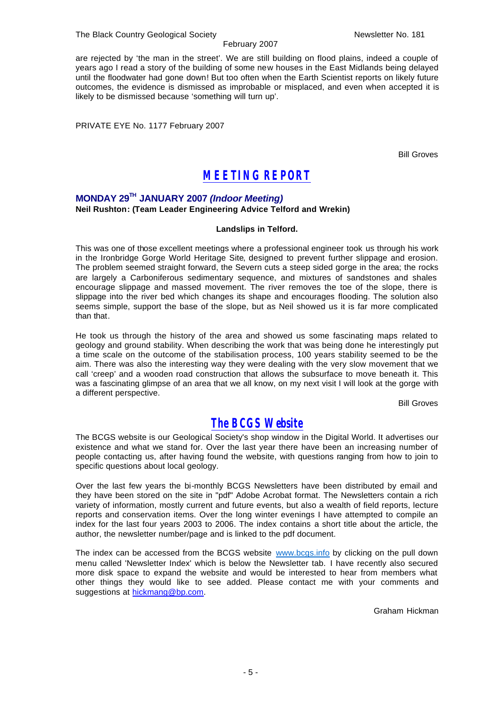are rejected by 'the man in the street'. We are still building on flood plains, indeed a couple of years ago I read a story of the building of some new houses in the East Midlands being delayed until the floodwater had gone down! But too often when the Earth Scientist reports on likely future outcomes, the evidence is dismissed as improbable or misplaced, and even when accepted it is likely to be dismissed because 'something will turn up'.

PRIVATE EYE No. 1177 February 2007

Bill Groves

### *MEETING REPORT*

### **MONDAY 29TH JANUARY 2007** *(Indoor Meeting)* **Neil Rushton: (Team Leader Engineering Advice Telford and Wrekin)**

### **Landslips in Telford.**

This was one of those excellent meetings where a professional engineer took us through his work in the Ironbridge Gorge World Heritage Site, designed to prevent further slippage and erosion. The problem seemed straight forward, the Severn cuts a steep sided gorge in the area; the rocks are largely a Carboniferous sedimentary sequence, and mixtures of sandstones and shales encourage slippage and massed movement. The river removes the toe of the slope, there is slippage into the river bed which changes its shape and encourages flooding. The solution also seems simple, support the base of the slope, but as Neil showed us it is far more complicated than that.

He took us through the history of the area and showed us some fascinating maps related to geology and ground stability. When describing the work that was being done he interestingly put a time scale on the outcome of the stabilisation process, 100 years stability seemed to be the aim. There was also the interesting way they were dealing with the very slow movement that we call 'creep' and a wooden road construction that allows the subsurface to move beneath it. This was a fascinating glimpse of an area that we all know, on my next visit I will look at the gorge with a different perspective.

Bill Groves

### *The BCGS Website*

The BCGS website is our Geological Society's shop window in the Digital World. It advertises our existence and what we stand for. Over the last year there have been an increasing number of people contacting us, after having found the website, with questions ranging from how to join to specific questions about local geology.

Over the last few years the bi-monthly BCGS Newsletters have been distributed by email and they have been stored on the site in "pdf" Adobe Acrobat format. The Newsletters contain a rich variety of information, mostly current and future events, but also a wealth of field reports, lecture reports and conservation items. Over the long winter evenings I have attempted to compile an index for the last four years 2003 to 2006. The index contains a short title about the article, the author, the newsletter number/page and is linked to the pdf document.

The index can be accessed from the BCGS website www.bcgs.info by clicking on the pull down menu called 'Newsletter Index' which is below the Newsletter tab. I have recently also secured more disk space to expand the website and would be interested to hear from members what other things they would like to see added. Please contact me with your comments and suggestions at hickmang@bp.com.

Graham Hickman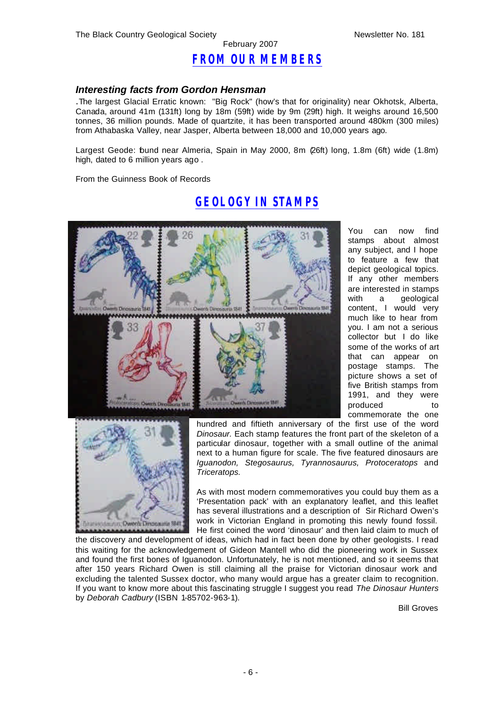### *FROM OUR MEMBERS*

February 2007

### *Interesting facts from Gordon Hensman*

.The largest Glacial Erratic known: "Big Rock" (how's that for originality) near Okhotsk, Alberta, Canada, around 41m (131ft) long by 18m (59ft) wide by 9m (29ft) high. It weighs around 16,500 tonnes, 36 million pounds. Made of quartzite, it has been transported around 480km (300 miles) from Athabaska Valley, near Jasper, Alberta between 18,000 and 10,000 years ago.

Largest Geode: found near Almeria, Spain in May 2000, 8m (26ft) long, 1.8m (6ft) wide (1.8m) high, dated to 6 million years ago .

From the Guinness Book of Records

You can now find stamps about almost any subject, and I hope to feature a few that depict geological topics. If any other members are interested in stamps with a geological content, I would very much like to hear from you. I am not a serious collector but I do like some of the works of art that can appear on postage stamps. The picture shows a set of five British stamps from 1991, and they were produced to commemorate the one



hundred and fiftieth anniversary of the first use of the word *Dinosaur.* Each stamp features the front part of the skeleton of a particular dinosaur, together with a small outline of the animal next to a human figure for scale. The five featured dinosaurs are *Iguanodon, Stegosaurus, Tyrannosaurus, Protoceratops* and *Triceratops.*

As with most modern commemoratives you could buy them as a 'Presentation pack' with an explanatory leaflet, and this leaflet has several illustrations and a description of Sir Richard Owen's work in Victorian England in promoting this newly found fossil. He first coined the word 'dinosaur' and then laid claim to much of

the discovery and development of ideas, which had in fact been done by other geologists. I read this waiting for the acknowledgement of Gideon Mantell who did the pioneering work in Sussex and found the first bones of Iguanodon. Unfortunately, he is not mentioned, and so it seems that after 150 years Richard Owen is still claiming all the praise for Victorian dinosaur work and excluding the talented Sussex doctor, who many would argue has a greater claim to recognition. If you want to know more about this fascinating struggle I suggest you read *The Dinosaur Hunters*  by *Deborah Cadbury* (ISBN 1-85702-963-1).

Bill Groves

### *GEOLOGY IN STAMPS*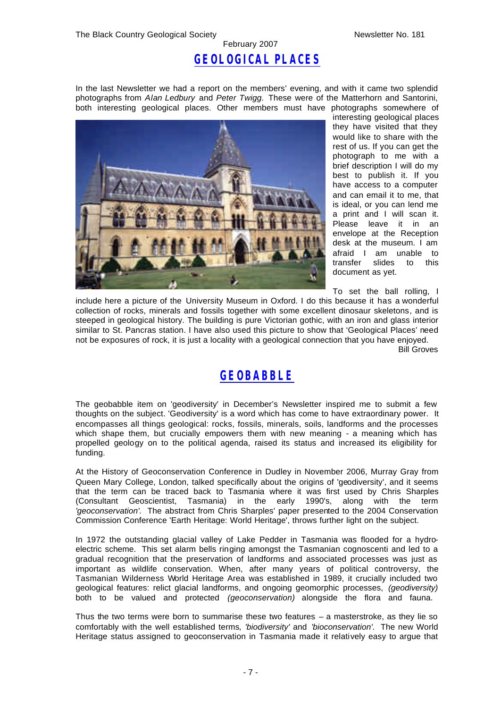## *GEOLOGICAL PLACES*

February 2007

In the last Newsletter we had a report on the members' evening, and with it came two splendid photographs from *Alan Ledbury* and *Peter Twigg.* These were of the Matterhorn and Santorini, both interesting geological places. Other members must have photographs somewhere of



interesting geological places they have visited that they would like to share with the rest of us. If you can get the photograph to me with a brief description I will do my best to publish it. If you have access to a computer and can email it to me, that is ideal, or you can lend me a print and I will scan it. Please leave it in an envelope at the Reception desk at the museum. I am afraid I am unable to transfer slides to this document as yet.

To set the ball rolling, I

include here a picture of the University Museum in Oxford. I do this because it has a wonderful collection of rocks, minerals and fossils together with some excellent dinosaur skeletons, and is steeped in geological history. The building is pure Victorian gothic, with an iron and glass interior similar to St. Pancras station. I have also used this picture to show that 'Geological Places' need not be exposures of rock, it is just a locality with a geological connection that you have enjoyed. Bill Groves

### *GEOBABBLE*

The geobabble item on 'geodiversity' in December's Newsletter inspired me to submit a few thoughts on the subject. 'Geodiversity' is a word which has come to have extraordinary power. It encompasses all things geological: rocks, fossils, minerals, soils, landforms and the processes which shape them, but crucially empowers them with new meaning - a meaning which has propelled geology on to the political agenda, raised its status and increased its eligibility for funding.

At the History of Geoconservation Conference in Dudley in November 2006, Murray Gray from Queen Mary College, London, talked specifically about the origins of 'geodiversity', and it seems that the term can be traced back to Tasmania where it was first used by Chris Sharples (Consultant Geoscientist, Tasmania) in the early 1990's, along with the term *'geoconservation'.* The abstract from Chris Sharples' paper presented to the 2004 Conservation Commission Conference 'Earth Heritage: World Heritage', throws further light on the subject.

In 1972 the outstanding glacial valley of Lake Pedder in Tasmania was flooded for a hydroelectric scheme. This set alarm bells ringing amongst the Tasmanian cognoscenti and led to a gradual recognition that the preservation of landforms and associated processes was just as important as wildlife conservation. When, after many years of political controversy, the Tasmanian Wilderness World Heritage Area was established in 1989, it crucially included two geological features: relict glacial landforms, and ongoing geomorphic processes, *(geodiversity)* both to be valued and protected *(geoconservation)* alongside the flora and fauna.

Thus the two terms were born to summarise these two features  $-$  a masterstroke, as they lie so comfortably with the well established terms*, 'biodiversity'* and *'bioconservation'.* The new World Heritage status assigned to geoconservation in Tasmania made it relatively easy to argue that